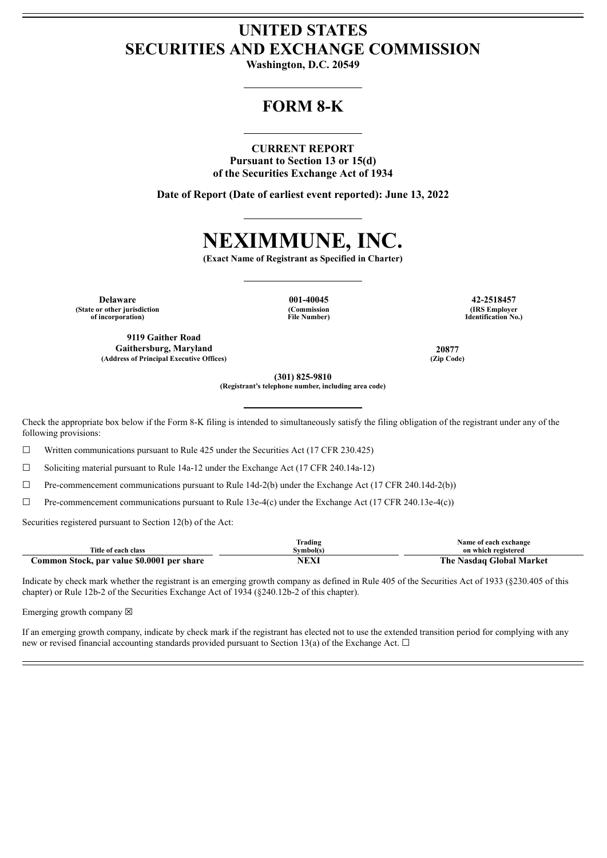## **UNITED STATES SECURITIES AND EXCHANGE COMMISSION**

**Washington, D.C. 20549**

# **FORM 8-K**

## **CURRENT REPORT**

**Pursuant to Section 13 or 15(d) of the Securities Exchange Act of 1934**

**Date of Report (Date of earliest event reported): June 13, 2022**

# **NEXIMMUNE, INC.**

**(Exact Name of Registrant as Specified in Charter)**

**Delaware 001-40045 42-2518457 (State or other jurisdiction of incorporation)**

**9119 Gaither Road Gaithersburg, Maryland 20877 (Address of Principal Executive Offices) (Zip Code)**

**(Commission File Number)**

**(IRS Employer Identification No.)**

**(301) 825-9810**

**(Registrant's telephone number, including area code)**

Check the appropriate box below if the Form 8-K filing is intended to simultaneously satisfy the filing obligation of the registrant under any of the following provisions:

☐ Written communications pursuant to Rule 425 under the Securities Act (17 CFR 230.425)

☐ Soliciting material pursuant to Rule 14a-12 under the Exchange Act (17 CFR 240.14a-12)

 $\Box$  Pre-commencement communications pursuant to Rule 14d-2(b) under the Exchange Act (17 CFR 240.14d-2(b))

 $\Box$  Pre-commencement communications pursuant to Rule 13e-4(c) under the Exchange Act (17 CFR 240.13e-4(c))

Securities registered pursuant to Section 12(b) of the Act:

|                                                    | --<br>Trading                                   | Name of each exchange                |
|----------------------------------------------------|-------------------------------------------------|--------------------------------------|
| $\sim$<br>Title of each class                      | švmbol(s                                        | on which registered                  |
| par value \$0.0001<br>per share<br>ommon<br>Stock, | the contract of the contract of the contract of | Market<br>⊹lohal<br>. ne<br>. vasdae |

Indicate by check mark whether the registrant is an emerging growth company as defined in Rule 405 of the Securities Act of 1933 (§230.405 of this chapter) or Rule 12b-2 of the Securities Exchange Act of 1934 (§240.12b-2 of this chapter).

Emerging growth company  $\boxtimes$ 

If an emerging growth company, indicate by check mark if the registrant has elected not to use the extended transition period for complying with any new or revised financial accounting standards provided pursuant to Section 13(a) of the Exchange Act.  $\Box$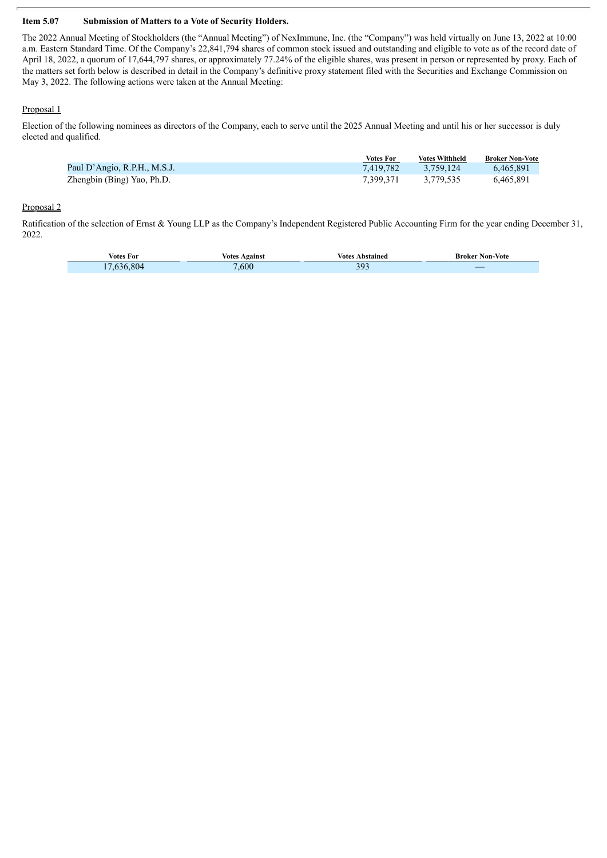### **Item 5.07 Submission of Matters to a Vote of Security Holders.**

The 2022 Annual Meeting of Stockholders (the "Annual Meeting") of NexImmune, Inc. (the "Company") was held virtually on June 13, 2022 at 10:00 a.m. Eastern Standard Time. Of the Company's 22,841,794 shares of common stock issued and outstanding and eligible to vote as of the record date of April 18, 2022, a quorum of 17,644,797 shares, or approximately 77.24% of the eligible shares, was present in person or represented by proxy. Each of the matters set forth below is described in detail in the Company's definitive proxy statement filed with the Securities and Exchange Commission on May 3, 2022. The following actions were taken at the Annual Meeting:

### Proposal 1

Election of the following nominees as directors of the Company, each to serve until the 2025 Annual Meeting and until his or her successor is duly elected and qualified.

|                              | Votes For | Votes Withheld | <b>Broker Non-Vote</b> |
|------------------------------|-----------|----------------|------------------------|
| Paul D'Angio, R.P.H., M.S.J. | 7.419.782 | 3.759.124      | 6.465.891              |
| Zhengbin (Bing) Yao, Ph.D.   | 7.399.371 | 3.779.535      | 6,465,891              |

### Proposal 2

Ratification of the selection of Ernst & Young LLP as the Company's Independent Registered Public Accounting Firm for the year ending December 31, 2022.

| Votes For        | <b>Votes Against</b> | Votes<br>Abstained | <b>Broker Non-Vote</b> |
|------------------|----------------------|--------------------|------------------------|
| 804<br>. .<br>AA | ,600                 | 303<br>ر ر         |                        |